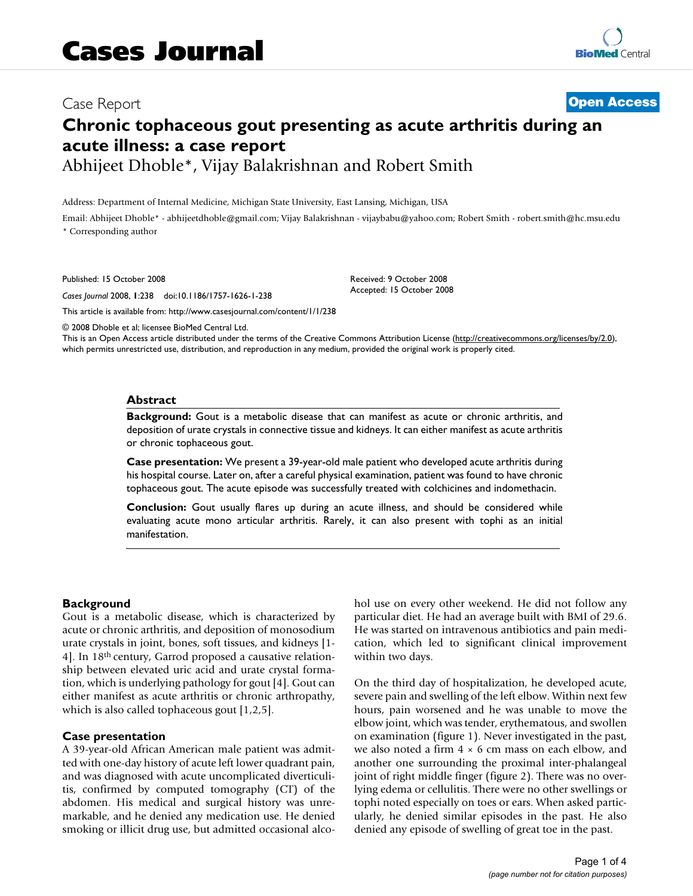## Case Report **[Open Access](http://www.biomedcentral.com/info/about/charter/)**

# **Chronic tophaceous gout presenting as acute arthritis during an acute illness: a case report** Abhijeet Dhoble\*, Vijay Balakrishnan and Robert Smith

Address: Department of Internal Medicine, Michigan State University, East Lansing, Michigan, USA

Email: Abhijeet Dhoble\* - abhijeetdhoble@gmail.com; Vijay Balakrishnan - vijaybabu@yahoo.com; Robert Smith - robert.smith@hc.msu.edu \* Corresponding author

> Received: 9 October 2008 Accepted: 15 October 2008

Published: 15 October 2008

*Cases Journal* 2008, **1**:238 doi:10.1186/1757-1626-1-238

[This article is available from: http://www.casesjournal.com/content/1/1/238](http://www.casesjournal.com/content/1/1/238)

© 2008 Dhoble et al; licensee BioMed Central Ltd.

This is an Open Access article distributed under the terms of the Creative Commons Attribution License [\(http://creativecommons.org/licenses/by/2.0\)](http://creativecommons.org/licenses/by/2.0), which permits unrestricted use, distribution, and reproduction in any medium, provided the original work is properly cited.

#### **Abstract**

**Background:** Gout is a metabolic disease that can manifest as acute or chronic arthritis, and deposition of urate crystals in connective tissue and kidneys. It can either manifest as acute arthritis or chronic tophaceous gout.

**Case presentation:** We present a 39-year-old male patient who developed acute arthritis during his hospital course. Later on, after a careful physical examination, patient was found to have chronic tophaceous gout. The acute episode was successfully treated with colchicines and indomethacin.

**Conclusion:** Gout usually flares up during an acute illness, and should be considered while evaluating acute mono articular arthritis. Rarely, it can also present with tophi as an initial manifestation.

## **Background**

Gout is a metabolic disease, which is characterized by acute or chronic arthritis, and deposition of monosodium urate crystals in joint, bones, soft tissues, and kidneys [1- 4]. In 18th century, Garrod proposed a causative relationship between elevated uric acid and urate crystal formation, which is underlying pathology for gout [4]. Gout can either manifest as acute arthritis or chronic arthropathy, which is also called tophaceous gout [1,2,5].

#### **Case presentation**

A 39-year-old African American male patient was admitted with one-day history of acute left lower quadrant pain, and was diagnosed with acute uncomplicated diverticulitis, confirmed by computed tomography (CT) of the abdomen. His medical and surgical history was unremarkable, and he denied any medication use. He denied smoking or illicit drug use, but admitted occasional alcohol use on every other weekend. He did not follow any particular diet. He had an average built with BMI of 29.6. He was started on intravenous antibiotics and pain medication, which led to significant clinical improvement within two days.

On the third day of hospitalization, he developed acute, severe pain and swelling of the left elbow. Within next few hours, pain worsened and he was unable to move the elbow joint, which was tender, erythematous, and swollen on examination (figure 1). Never investigated in the past, we also noted a firm  $4 \times 6$  cm mass on each elbow, and another one surrounding the proximal inter-phalangeal joint of right middle finger (figure 2). There was no overlying edema or cellulitis. There were no other swellings or tophi noted especially on toes or ears. When asked particularly, he denied similar episodes in the past. He also denied any episode of swelling of great toe in the past.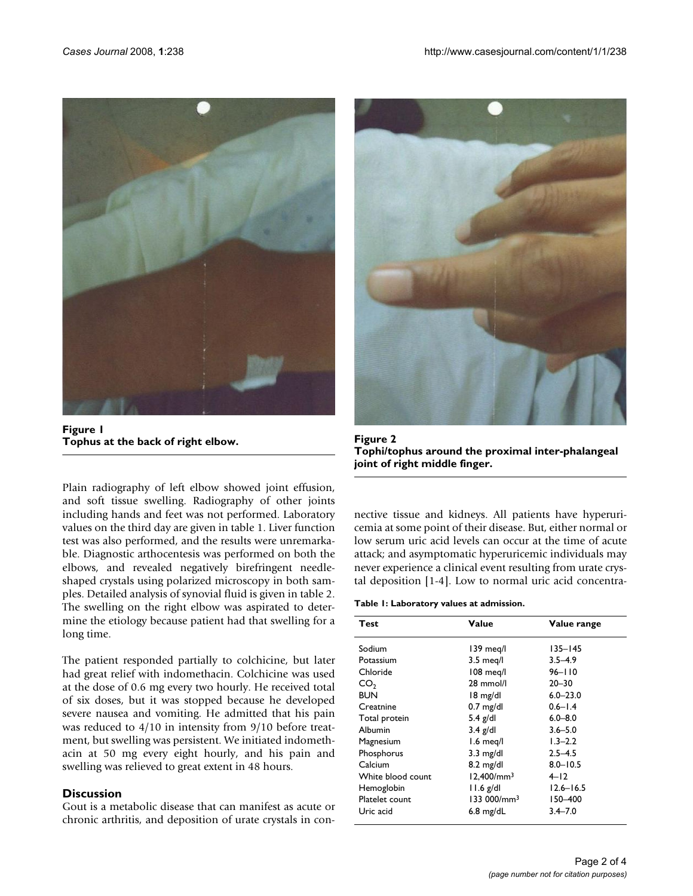

**Figure 1** Tophus at the back of right elbow. Tophus at the pack of right elbow.

Plain radiography of left elbow showed joint effusion, and soft tissue swelling. Radiography of other joints including hands and feet was not performed. Laboratory values on the third day are given in table 1. Liver function test was also performed, and the results were unremarkable. Diagnostic arthocentesis was performed on both the elbows, and revealed negatively birefringent needleshaped crystals using polarized microscopy in both samples. Detailed analysis of synovial fluid is given in table 2. The swelling on the right elbow was aspirated to determine the etiology because patient had that swelling for a long time.

The patient responded partially to colchicine, but later had great relief with indomethacin. Colchicine was used at the dose of 0.6 mg every two hourly. He received total of six doses, but it was stopped because he developed severe nausea and vomiting. He admitted that his pain was reduced to 4/10 in intensity from 9/10 before treatment, but swelling was persistent. We initiated indomethacin at 50 mg every eight hourly, and his pain and swelling was relieved to great extent in 48 hours.

## **Discussion**

Gout is a metabolic disease that can manifest as acute or chronic arthritis, and deposition of urate crystals in con-



**Tophi/tophus around the proximal inter-phalangeal joint of right middle finger.**

nective tissue and kidneys. All patients have hyperuricemia at some point of their disease. But, either normal or low serum uric acid levels can occur at the time of acute attack; and asymptomatic hyperuricemic individuals may never experience a clinical event resulting from urate crystal deposition [1-4]. Low to normal uric acid concentra-

#### **Table 1: Laboratory values at admission.**

| Test              | Value                  | Value range   |
|-------------------|------------------------|---------------|
| Sodium            | 139 meg/l              | $135 - 145$   |
| Potassium         | $3.5 \text{ meq/l}$    | $3.5 - 4.9$   |
| Chloride          | $108$ meg/l            | $96 - 110$    |
| CO <sub>2</sub>   | 28 mmol/l              | $20 - 30$     |
| BUN               | $18 \text{ mg/d}$      | $6.0 - 23.0$  |
| Creatnine         | $0.7$ mg/dl            | $0.6 - 1.4$   |
| Total protein     | $5.4$ g/dl             | $6.0 - 8.0$   |
| Albumin           | $3.4$ g/dl             | $3.6 - 5.0$   |
| Magnesium         | $1.6$ meg/l            | $1.3 - 2.2$   |
| Phosphorus        | $3.3 \text{ mg/dl}$    | $2.5 - 4.5$   |
| Calcium           | $8.2 \text{ mg/dl}$    | $8.0 - 10.5$  |
| White blood count | 12,400/mm <sup>3</sup> | $4 - 12$      |
| Hemoglobin        | $11.6$ g/dl            | $12.6 - 16.5$ |
| Platelet count    | 133000/mm <sup>3</sup> | 150-400       |
| Uric acid         | $6.8 \text{ mg/dL}$    | $3.4 - 7.0$   |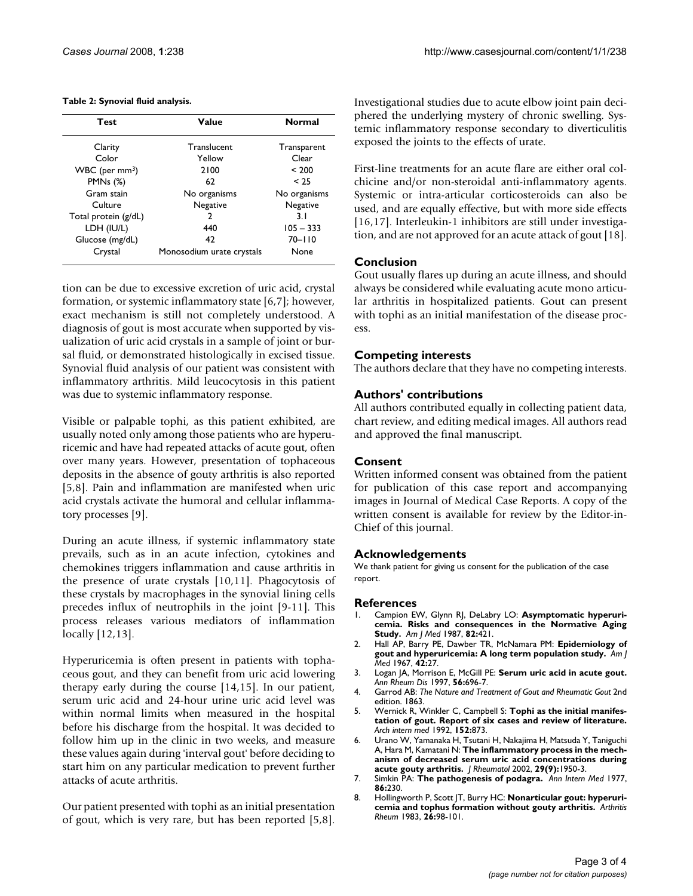#### **Table 2: Synovial fluid analysis.**

| <b>Test</b>                | Value                     | <b>Normal</b> |
|----------------------------|---------------------------|---------------|
| Clarity                    | Translucent               | Transparent   |
| Color                      | Yellow                    | Clear         |
| WBC (per mm <sup>3</sup> ) | 2100                      | < 200         |
| PMNs $(\%)$                | 62                        | < 25          |
| Gram stain                 | No organisms              | No organisms  |
| Culture                    | Negative                  | Negative      |
| Total protein (g/dL)       | 2                         | 3.1           |
| LDH (IU/L)                 | 440                       | $105 - 333$   |
| Glucose (mg/dL)            | 42                        | $70 - 110$    |
| Crystal                    | Monosodium urate crystals | None          |

tion can be due to excessive excretion of uric acid, crystal formation, or systemic inflammatory state [6,7]; however, exact mechanism is still not completely understood. A diagnosis of gout is most accurate when supported by visualization of uric acid crystals in a sample of joint or bursal fluid, or demonstrated histologically in excised tissue. Synovial fluid analysis of our patient was consistent with inflammatory arthritis. Mild leucocytosis in this patient was due to systemic inflammatory response.

Visible or palpable tophi, as this patient exhibited, are usually noted only among those patients who are hyperuricemic and have had repeated attacks of acute gout, often over many years. However, presentation of tophaceous deposits in the absence of gouty arthritis is also reported [5,8]. Pain and inflammation are manifested when uric acid crystals activate the humoral and cellular inflammatory processes [9].

During an acute illness, if systemic inflammatory state prevails, such as in an acute infection, cytokines and chemokines triggers inflammation and cause arthritis in the presence of urate crystals [10,11]. Phagocytosis of these crystals by macrophages in the synovial lining cells precedes influx of neutrophils in the joint [9-11]. This process releases various mediators of inflammation locally [12,13].

Hyperuricemia is often present in patients with tophaceous gout, and they can benefit from uric acid lowering therapy early during the course [14,15]. In our patient, serum uric acid and 24-hour urine uric acid level was within normal limits when measured in the hospital before his discharge from the hospital. It was decided to follow him up in the clinic in two weeks, and measure these values again during 'interval gout' before deciding to start him on any particular medication to prevent further attacks of acute arthritis.

Our patient presented with tophi as an initial presentation of gout, which is very rare, but has been reported [5,8].

Investigational studies due to acute elbow joint pain deciphered the underlying mystery of chronic swelling. Systemic inflammatory response secondary to diverticulitis exposed the joints to the effects of urate.

First-line treatments for an acute flare are either oral colchicine and/or non-steroidal anti-inflammatory agents. Systemic or intra-articular corticosteroids can also be used, and are equally effective, but with more side effects [16,17]. Interleukin-1 inhibitors are still under investigation, and are not approved for an acute attack of gout [18].

## **Conclusion**

Gout usually flares up during an acute illness, and should always be considered while evaluating acute mono articular arthritis in hospitalized patients. Gout can present with tophi as an initial manifestation of the disease process.

## **Competing interests**

The authors declare that they have no competing interests.

## **Authors' contributions**

All authors contributed equally in collecting patient data, chart review, and editing medical images. All authors read and approved the final manuscript.

### **Consent**

Written informed consent was obtained from the patient for publication of this case report and accompanying images in Journal of Medical Case Reports. A copy of the written consent is available for review by the Editor-in-Chief of this journal.

#### **Acknowledgements**

We thank patient for giving us consent for the publication of the case report.

#### **References**

- 1. Campion EW, Glynn RJ, DeLabry LO: **[Asymptomatic hyperuri](http://www.ncbi.nlm.nih.gov/entrez/query.fcgi?cmd=Retrieve&db=PubMed&dopt=Abstract&list_uids=3826098)[cemia. Risks and consequences in the Normative Aging](http://www.ncbi.nlm.nih.gov/entrez/query.fcgi?cmd=Retrieve&db=PubMed&dopt=Abstract&list_uids=3826098) [Study.](http://www.ncbi.nlm.nih.gov/entrez/query.fcgi?cmd=Retrieve&db=PubMed&dopt=Abstract&list_uids=3826098)** *Am J Med* 1987, **82:**421.
- 2. Hall AP, Barry PE, Dawber TR, McNamara PM: **[Epidemiology of](http://www.ncbi.nlm.nih.gov/entrez/query.fcgi?cmd=Retrieve&db=PubMed&dopt=Abstract&list_uids=6016478) [gout and hyperuricemia: A long term population study.](http://www.ncbi.nlm.nih.gov/entrez/query.fcgi?cmd=Retrieve&db=PubMed&dopt=Abstract&list_uids=6016478)** *Am J Med* 1967, **42:**27.
- 3. Logan JA, Morrison E, McGill PE: **[Serum uric acid in acute gout.](http://www.ncbi.nlm.nih.gov/entrez/query.fcgi?cmd=Retrieve&db=PubMed&dopt=Abstract&list_uids=9462177)** *Ann Rheum Dis* 1997, **56:**696-7.
- 4. Garrod AB: *The Nature and Treatment of Gout and Rheumatic Gout* 2nd edition. 1863.
- 5. Wernick R, Winkler C, Campbell S: **[Tophi as the initial manifes](http://www.ncbi.nlm.nih.gov/entrez/query.fcgi?cmd=Retrieve&db=PubMed&dopt=Abstract&list_uids=1558451)[tation of gout. Report of six cases and review of literature.](http://www.ncbi.nlm.nih.gov/entrez/query.fcgi?cmd=Retrieve&db=PubMed&dopt=Abstract&list_uids=1558451)** *Arch intern med* 1992, **152:**873.
- 6. Urano W, Yamanaka H, Tsutani H, Nakajima H, Matsuda Y, Taniguchi A, Hara M, Kamatani N: **[The inflammatory process in the mech](http://www.ncbi.nlm.nih.gov/entrez/query.fcgi?cmd=Retrieve&db=PubMed&dopt=Abstract&list_uids=12233891)[anism of decreased serum uric acid concentrations during](http://www.ncbi.nlm.nih.gov/entrez/query.fcgi?cmd=Retrieve&db=PubMed&dopt=Abstract&list_uids=12233891) [acute gouty arthritis.](http://www.ncbi.nlm.nih.gov/entrez/query.fcgi?cmd=Retrieve&db=PubMed&dopt=Abstract&list_uids=12233891)** *J Rheumatol* 2002, **29(9):**1950-3.
- 7. Simkin PA: **[The pathogenesis of podagra.](http://www.ncbi.nlm.nih.gov/entrez/query.fcgi?cmd=Retrieve&db=PubMed&dopt=Abstract&list_uids=319726)** *Ann Intern Med* 1977, **86:**230.
- 8. Hollingworth P, Scott JT, Burry HC: **[Nonarticular gout: hyperuri](http://www.ncbi.nlm.nih.gov/entrez/query.fcgi?cmd=Retrieve&db=PubMed&dopt=Abstract&list_uids=6824510)[cemia and tophus formation without gouty arthritis.](http://www.ncbi.nlm.nih.gov/entrez/query.fcgi?cmd=Retrieve&db=PubMed&dopt=Abstract&list_uids=6824510)** *Arthritis Rheum* 1983, **26:**98-101.